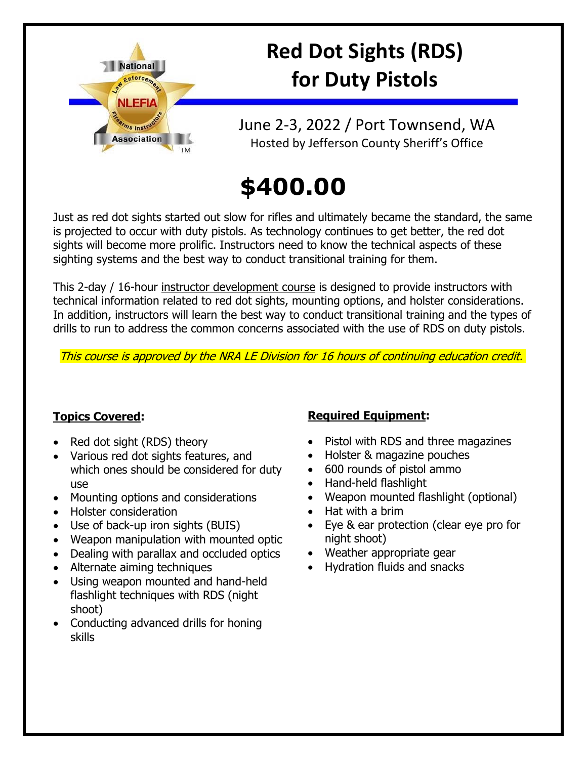

# **Red Dot Sights (RDS) for Duty Pistols**

June 2-3, 2022 / Port Townsend, WA Hosted by Jefferson County Sheriff's Office

# **\$400.00**

Just as red dot sights started out slow for rifles and ultimately became the standard, the same is projected to occur with duty pistols. As technology continues to get better, the red dot sights will become more prolific. Instructors need to know the technical aspects of these sighting systems and the best way to conduct transitional training for them.

This 2-day / 16-hour instructor development course is designed to provide instructors with technical information related to red dot sights, mounting options, and holster considerations. In addition, instructors will learn the best way to conduct transitional training and the types of drills to run to address the common concerns associated with the use of RDS on duty pistols.

This course is approved by the NRA LE Division for 16 hours of continuing education credit.

#### **Topics Covered:**

- Red dot sight (RDS) theory
- Various red dot sights features, and which ones should be considered for duty use
- Mounting options and considerations
- Holster consideration
- Use of back-up iron sights (BUIS)
- Weapon manipulation with mounted optic
- Dealing with parallax and occluded optics
- Alternate aiming techniques
- Using weapon mounted and hand-held flashlight techniques with RDS (night shoot)
- Conducting advanced drills for honing skills

### **Required Equipment:**

- Pistol with RDS and three magazines
- Holster & magazine pouches
- 600 rounds of pistol ammo
- Hand-held flashlight
- Weapon mounted flashlight (optional)
- Hat with a brim
- Eye & ear protection (clear eye pro for night shoot)
- Weather appropriate gear
- Hydration fluids and snacks